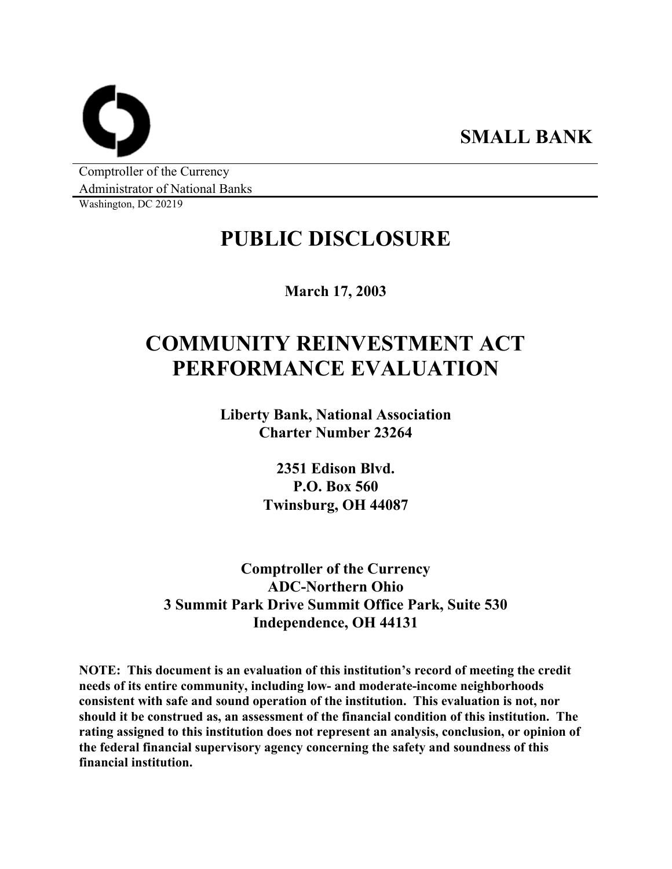**SMALL BANK** 

Comptroller of the Currency Administrator of National Banks

Washington, DC 20219

## **PUBLIC DISCLOSURE**

**March 17, 2003** 

# **COMMUNITY REINVESTMENT ACT PERFORMANCE EVALUATION**

**Liberty Bank, National Association Charter Number 23264** 

> **2351 Edison Blvd. P.O. Box 560 Twinsburg, OH 44087**

**Comptroller of the Currency ADC-Northern Ohio 3 Summit Park Drive Summit Office Park, Suite 530 Independence, OH 44131** 

**NOTE: This document is an evaluation of this institution's record of meeting the credit needs of its entire community, including low- and moderate-income neighborhoods consistent with safe and sound operation of the institution. This evaluation is not, nor should it be construed as, an assessment of the financial condition of this institution. The rating assigned to this institution does not represent an analysis, conclusion, or opinion of the federal financial supervisory agency concerning the safety and soundness of this financial institution.**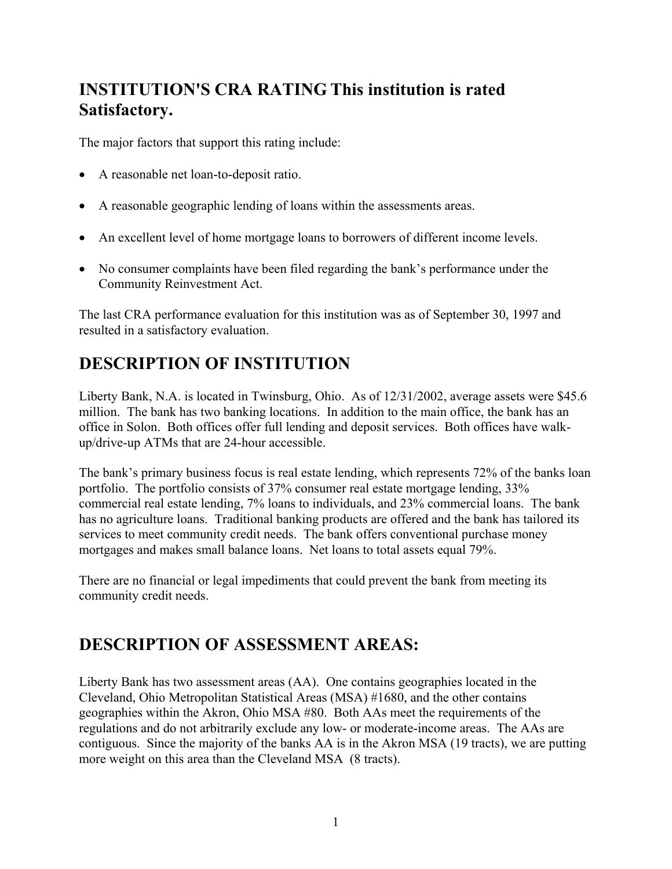### **INSTITUTION'S CRA RATING This institution is rated Satisfactory.**

The major factors that support this rating include:

- A reasonable net loan-to-deposit ratio.
- A reasonable geographic lending of loans within the assessments areas.
- An excellent level of home mortgage loans to borrowers of different income levels.
- No consumer complaints have been filed regarding the bank's performance under the Community Reinvestment Act.

The last CRA performance evaluation for this institution was as of September 30, 1997 and resulted in a satisfactory evaluation.

### **DESCRIPTION OF INSTITUTION**

Liberty Bank, N.A. is located in Twinsburg, Ohio. As of 12/31/2002, average assets were \$45.6 million. The bank has two banking locations. In addition to the main office, the bank has an office in Solon. Both offices offer full lending and deposit services. Both offices have walkup/drive-up ATMs that are 24-hour accessible.

The bank's primary business focus is real estate lending, which represents 72% of the banks loan portfolio. The portfolio consists of 37% consumer real estate mortgage lending, 33% commercial real estate lending, 7% loans to individuals, and 23% commercial loans. The bank has no agriculture loans. Traditional banking products are offered and the bank has tailored its services to meet community credit needs. The bank offers conventional purchase money mortgages and makes small balance loans. Net loans to total assets equal 79%.

There are no financial or legal impediments that could prevent the bank from meeting its community credit needs.

### **DESCRIPTION OF ASSESSMENT AREAS:**

Liberty Bank has two assessment areas (AA). One contains geographies located in the Cleveland, Ohio Metropolitan Statistical Areas (MSA) #1680, and the other contains geographies within the Akron, Ohio MSA #80. Both AAs meet the requirements of the regulations and do not arbitrarily exclude any low- or moderate-income areas. The AAs are contiguous.Since the majority of the banks AA is in the Akron MSA (19 tracts), we are putting more weight on this area than the Cleveland MSA (8 tracts).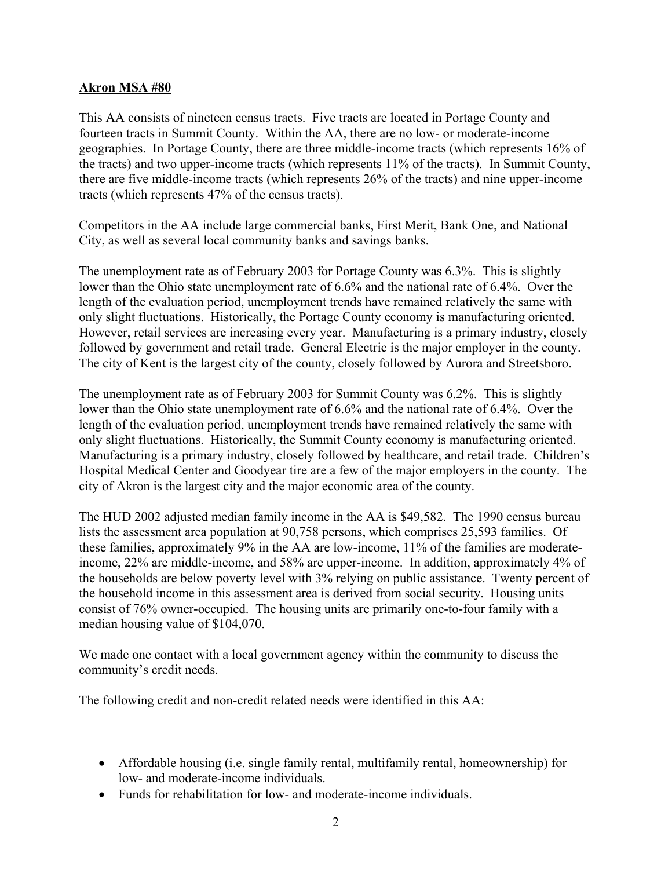#### **Akron MSA #80**

This AA consists of nineteen census tracts. Five tracts are located in Portage County and fourteen tracts in Summit County. Within the AA, there are no low- or moderate-income geographies. In Portage County, there are three middle-income tracts (which represents 16% of the tracts) and two upper-income tracts (which represents 11% of the tracts). In Summit County, there are five middle-income tracts (which represents 26% of the tracts) and nine upper-income tracts (which represents 47% of the census tracts).

Competitors in the AA include large commercial banks, First Merit, Bank One, and National City, as well as several local community banks and savings banks.

The unemployment rate as of February 2003 for Portage County was 6.3%. This is slightly lower than the Ohio state unemployment rate of 6.6% and the national rate of 6.4%. Over the length of the evaluation period, unemployment trends have remained relatively the same with only slight fluctuations. Historically, the Portage County economy is manufacturing oriented. However, retail services are increasing every year. Manufacturing is a primary industry, closely followed by government and retail trade. General Electric is the major employer in the county. The city of Kent is the largest city of the county, closely followed by Aurora and Streetsboro.

The unemployment rate as of February 2003 for Summit County was 6.2%. This is slightly lower than the Ohio state unemployment rate of 6.6% and the national rate of 6.4%. Over the length of the evaluation period, unemployment trends have remained relatively the same with only slight fluctuations. Historically, the Summit County economy is manufacturing oriented. Manufacturing is a primary industry, closely followed by healthcare, and retail trade. Children's Hospital Medical Center and Goodyear tire are a few of the major employers in the county. The city of Akron is the largest city and the major economic area of the county.

The HUD 2002 adjusted median family income in the AA is \$49,582. The 1990 census bureau lists the assessment area population at 90,758 persons, which comprises 25,593 families. Of these families, approximately 9% in the AA are low-income, 11% of the families are moderateincome, 22% are middle-income, and 58% are upper-income. In addition, approximately 4% of the households are below poverty level with 3% relying on public assistance. Twenty percent of the household income in this assessment area is derived from social security. Housing units consist of 76% owner-occupied. The housing units are primarily one-to-four family with a median housing value of \$104,070.

We made one contact with a local government agency within the community to discuss the community's credit needs.

The following credit and non-credit related needs were identified in this AA:

- Affordable housing (i.e. single family rental, multifamily rental, homeownership) for low- and moderate-income individuals.
- Funds for rehabilitation for low- and moderate-income individuals.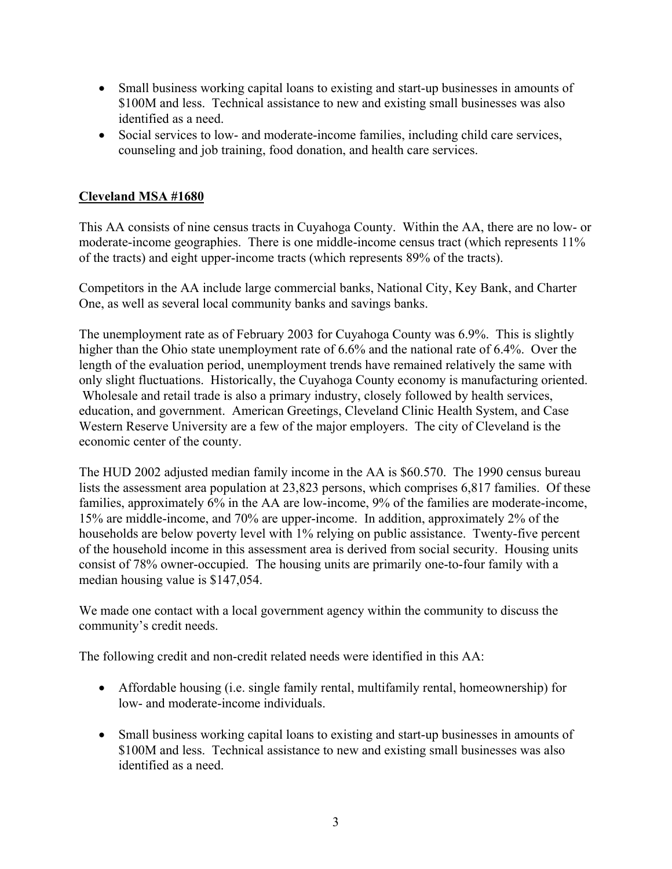- Small business working capital loans to existing and start-up businesses in amounts of \$100M and less. Technical assistance to new and existing small businesses was also identified as a need.
- Social services to low- and moderate-income families, including child care services, counseling and job training, food donation, and health care services.

### **Cleveland MSA #1680**

This AA consists of nine census tracts in Cuyahoga County. Within the AA, there are no low- or moderate-income geographies. There is one middle-income census tract (which represents 11% of the tracts) and eight upper-income tracts (which represents 89% of the tracts).

Competitors in the AA include large commercial banks, National City, Key Bank, and Charter One, as well as several local community banks and savings banks.

The unemployment rate as of February 2003 for Cuyahoga County was 6.9%. This is slightly higher than the Ohio state unemployment rate of 6.6% and the national rate of 6.4%. Over the length of the evaluation period, unemployment trends have remained relatively the same with only slight fluctuations. Historically, the Cuyahoga County economy is manufacturing oriented. Wholesale and retail trade is also a primary industry, closely followed by health services, education, and government. American Greetings, Cleveland Clinic Health System, and Case Western Reserve University are a few of the major employers. The city of Cleveland is the economic center of the county.

The HUD 2002 adjusted median family income in the AA is \$60.570. The 1990 census bureau lists the assessment area population at 23,823 persons, which comprises 6,817 families. Of these families, approximately 6% in the AA are low-income, 9% of the families are moderate-income, 15% are middle-income, and 70% are upper-income. In addition, approximately 2% of the households are below poverty level with 1% relying on public assistance. Twenty-five percent of the household income in this assessment area is derived from social security. Housing units consist of 78% owner-occupied. The housing units are primarily one-to-four family with a median housing value is \$147,054.

We made one contact with a local government agency within the community to discuss the community's credit needs.

The following credit and non-credit related needs were identified in this AA:

- Affordable housing (i.e. single family rental, multifamily rental, homeownership) for low- and moderate-income individuals.
- Small business working capital loans to existing and start-up businesses in amounts of \$100M and less. Technical assistance to new and existing small businesses was also identified as a need.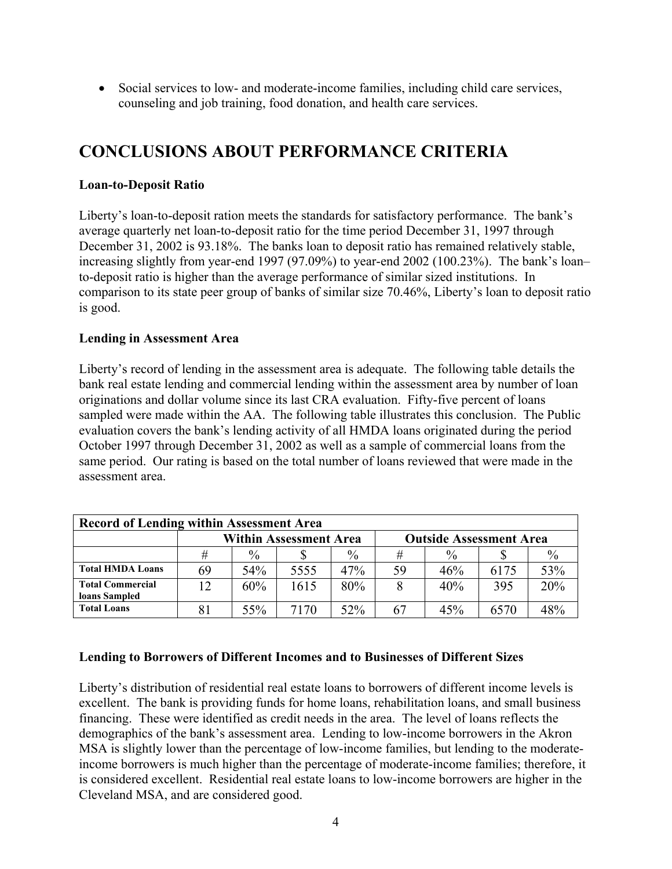• Social services to low- and moderate-income families, including child care services, counseling and job training, food donation, and health care services.

### **CONCLUSIONS ABOUT PERFORMANCE CRITERIA**

### **Loan-to-Deposit Ratio**

Liberty's loan-to-deposit ration meets the standards for satisfactory performance. The bank's average quarterly net loan-to-deposit ratio for the time period December 31, 1997 through December 31, 2002 is 93.18%. The banks loan to deposit ratio has remained relatively stable, increasing slightly from year-end 1997 (97.09%) to year-end 2002 (100.23%). The bank's loan– to-deposit ratio is higher than the average performance of similar sized institutions. In comparison to its state peer group of banks of similar size 70.46%, Liberty's loan to deposit ratio is good.

### **Lending in Assessment Area**

Liberty's record of lending in the assessment area is adequate. The following table details the bank real estate lending and commercial lending within the assessment area by number of loan originations and dollar volume since its last CRA evaluation. Fifty-five percent of loans sampled were made within the AA. The following table illustrates this conclusion. The Public evaluation covers the bank's lending activity of all HMDA loans originated during the period October 1997 through December 31, 2002 as well as a sample of commercial loans from the same period. Our rating is based on the total number of loans reviewed that were made in the assessment area.

| <b>Record of Lending within Assessment Area</b> |                               |               |      |               |                                |               |      |               |
|-------------------------------------------------|-------------------------------|---------------|------|---------------|--------------------------------|---------------|------|---------------|
|                                                 | <b>Within Assessment Area</b> |               |      |               | <b>Outside Assessment Area</b> |               |      |               |
|                                                 | #                             | $\frac{0}{0}$ |      | $\frac{0}{0}$ | #                              | $\frac{0}{0}$ |      | $\frac{0}{0}$ |
| <b>Total HMDA Loans</b>                         | 69                            | 54%           | 5555 | 47%           | 59                             | 46%           | 6175 | 53%           |
| <b>Total Commercial</b><br>loans Sampled        | 12                            | 60%           | 1615 | 80%           |                                | 40%           | 395  | 20%           |
| <b>Total Loans</b>                              |                               | 55%           | 7170 | 52%           | 67                             | 45%           | 6570 | 48%           |

### **Lending to Borrowers of Different Incomes and to Businesses of Different Sizes**

Liberty's distribution of residential real estate loans to borrowers of different income levels is excellent. The bank is providing funds for home loans, rehabilitation loans, and small business financing. These were identified as credit needs in the area. The level of loans reflects the demographics of the bank's assessment area. Lending to low-income borrowers in the Akron MSA is slightly lower than the percentage of low-income families, but lending to the moderateincome borrowers is much higher than the percentage of moderate-income families; therefore, it is considered excellent. Residential real estate loans to low-income borrowers are higher in the Cleveland MSA, and are considered good.